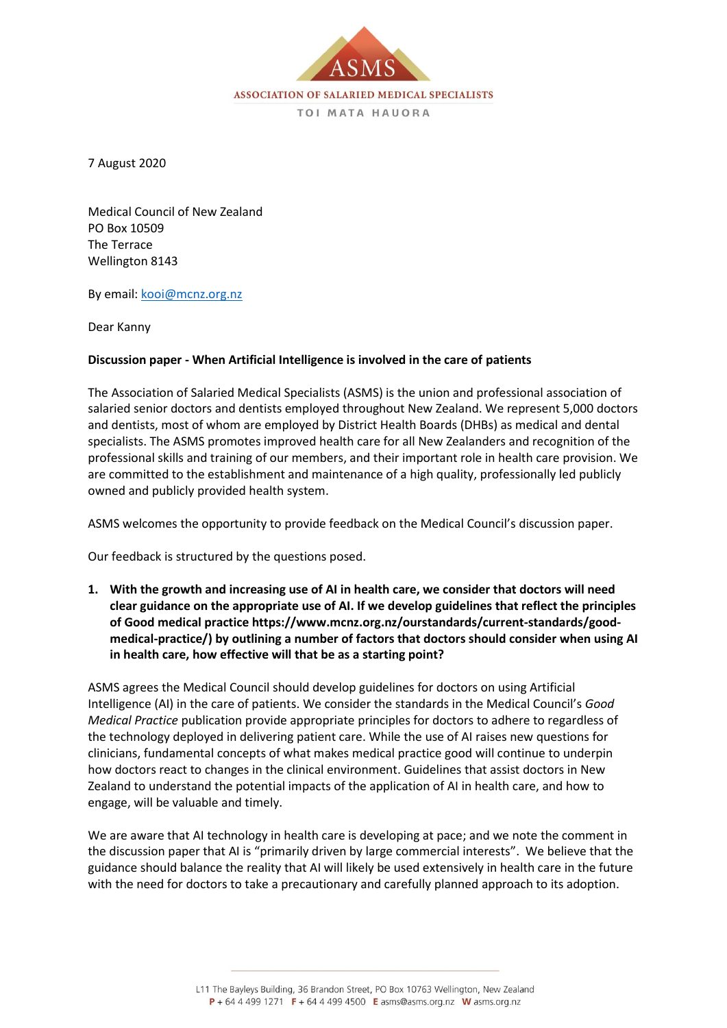

7 August 2020

Medical Council of New Zealand PO Box 10509 The Terrace Wellington 8143

By email: [kooi@mcnz.org.nz](mailto:kooi@mcnz.org.nz)

Dear Kanny

#### **Discussion paper - When Artificial Intelligence is involved in the care of patients**

The Association of Salaried Medical Specialists (ASMS) is the union and professional association of salaried senior doctors and dentists employed throughout New Zealand. We represent 5,000 doctors and dentists, most of whom are employed by District Health Boards (DHBs) as medical and dental specialists. The ASMS promotes improved health care for all New Zealanders and recognition of the professional skills and training of our members, and their important role in health care provision. We are committed to the establishment and maintenance of a high quality, professionally led publicly owned and publicly provided health system.

ASMS welcomes the opportunity to provide feedback on the Medical Council's discussion paper.

Our feedback is structured by the questions posed.

**1. With the growth and increasing use of AI in health care, we consider that doctors will need clear guidance on the appropriate use of AI. If we develop guidelines that reflect the principles of Good medical practice https://www.mcnz.org.nz/ourstandards/current-standards/goodmedical-practice/) by outlining a number of factors that doctors should consider when using AI in health care, how effective will that be as a starting point?**

ASMS agrees the Medical Council should develop guidelines for doctors on using Artificial Intelligence (AI) in the care of patients. We consider the standards in the Medical Council's *Good Medical Practice* publication provide appropriate principles for doctors to adhere to regardless of the technology deployed in delivering patient care. While the use of AI raises new questions for clinicians, fundamental concepts of what makes medical practice good will continue to underpin how doctors react to changes in the clinical environment. Guidelines that assist doctors in New Zealand to understand the potential impacts of the application of AI in health care, and how to engage, will be valuable and timely.

We are aware that AI technology in health care is developing at pace; and we note the comment in the discussion paper that AI is "primarily driven by large commercial interests". We believe that the guidance should balance the reality that AI will likely be used extensively in health care in the future with the need for doctors to take a precautionary and carefully planned approach to its adoption.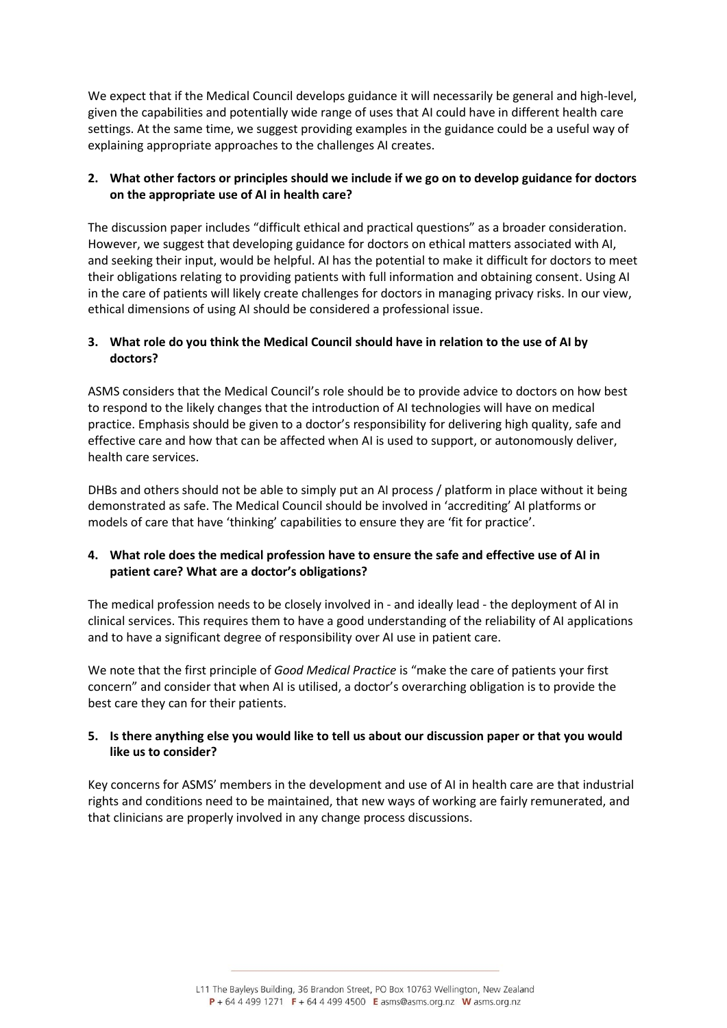We expect that if the Medical Council develops guidance it will necessarily be general and high-level, given the capabilities and potentially wide range of uses that AI could have in different health care settings. At the same time, we suggest providing examples in the guidance could be a useful way of explaining appropriate approaches to the challenges AI creates.

# **2. What other factors or principles should we include if we go on to develop guidance for doctors on the appropriate use of AI in health care?**

The discussion paper includes "difficult ethical and practical questions" as a broader consideration. However, we suggest that developing guidance for doctors on ethical matters associated with AI, and seeking their input, would be helpful. AI has the potential to make it difficult for doctors to meet their obligations relating to providing patients with full information and obtaining consent. Using AI in the care of patients will likely create challenges for doctors in managing privacy risks. In our view, ethical dimensions of using AI should be considered a professional issue.

# **3. What role do you think the Medical Council should have in relation to the use of AI by doctors?**

ASMS considers that the Medical Council's role should be to provide advice to doctors on how best to respond to the likely changes that the introduction of AI technologies will have on medical practice. Emphasis should be given to a doctor's responsibility for delivering high quality, safe and effective care and how that can be affected when AI is used to support, or autonomously deliver, health care services.

DHBs and others should not be able to simply put an AI process / platform in place without it being demonstrated as safe. The Medical Council should be involved in 'accrediting' AI platforms or models of care that have 'thinking' capabilities to ensure they are 'fit for practice'.

### **4. What role does the medical profession have to ensure the safe and effective use of AI in patient care? What are a doctor's obligations?**

The medical profession needs to be closely involved in - and ideally lead - the deployment of AI in clinical services. This requires them to have a good understanding of the reliability of AI applications and to have a significant degree of responsibility over AI use in patient care.

We note that the first principle of *Good Medical Practice* is "make the care of patients your first concern" and consider that when AI is utilised, a doctor's overarching obligation is to provide the best care they can for their patients.

### **5. Is there anything else you would like to tell us about our discussion paper or that you would like us to consider?**

Key concerns for ASMS' members in the development and use of AI in health care are that industrial rights and conditions need to be maintained, that new ways of working are fairly remunerated, and that clinicians are properly involved in any change process discussions.